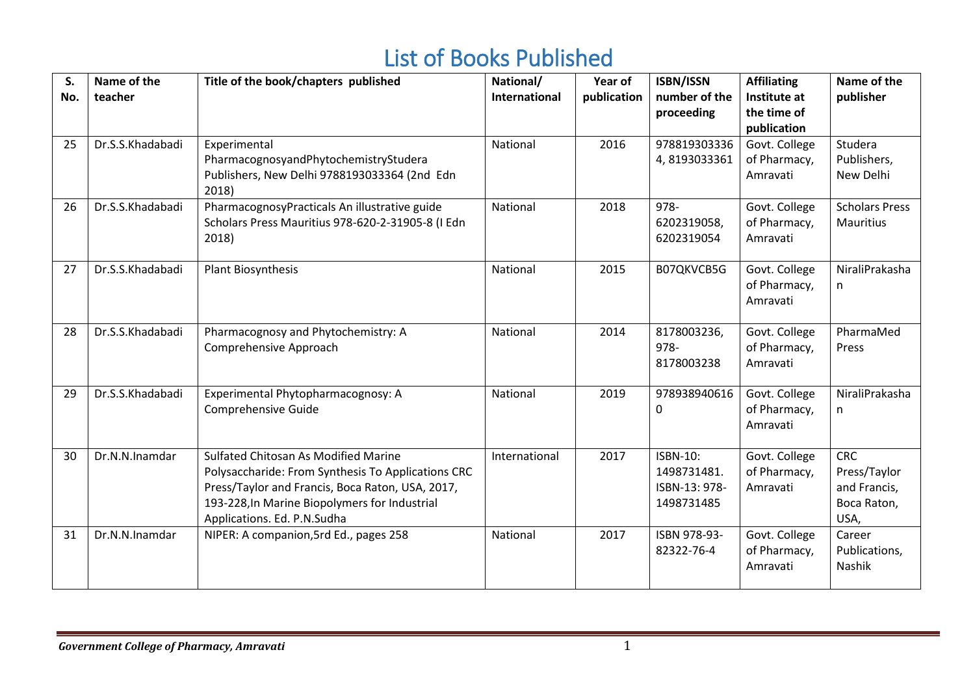## List of Books Published

| S.<br>No. | Name of the<br>teacher | Title of the book/chapters published                                                                                                                                                                                           | National/<br><b>International</b> | Year of<br>publication | <b>ISBN/ISSN</b><br>number of the<br>proceeding        | <b>Affiliating</b><br>Institute at<br>the time of<br>publication | Name of the<br>publisher                                          |
|-----------|------------------------|--------------------------------------------------------------------------------------------------------------------------------------------------------------------------------------------------------------------------------|-----------------------------------|------------------------|--------------------------------------------------------|------------------------------------------------------------------|-------------------------------------------------------------------|
| 25        | Dr.S.S.Khadabadi       | Experimental<br>PharmacognosyandPhytochemistryStudera<br>Publishers, New Delhi 9788193033364 (2nd Edn<br>2018)                                                                                                                 | National                          | 2016                   | 978819303336<br>4,8193033361                           | Govt. College<br>of Pharmacy,<br>Amravati                        | Studera<br>Publishers,<br>New Delhi                               |
| 26        | Dr.S.S.Khadabadi       | PharmacognosyPracticals An illustrative guide<br>Scholars Press Mauritius 978-620-2-31905-8 (I Edn<br>2018)                                                                                                                    | National                          | 2018                   | 978-<br>6202319058,<br>6202319054                      | Govt. College<br>of Pharmacy,<br>Amravati                        | <b>Scholars Press</b><br><b>Mauritius</b>                         |
| 27        | Dr.S.S.Khadabadi       | <b>Plant Biosynthesis</b>                                                                                                                                                                                                      | National                          | 2015                   | B07QKVCB5G                                             | Govt. College<br>of Pharmacy,<br>Amravati                        | NiraliPrakasha<br>n                                               |
| 28        | Dr.S.S.Khadabadi       | Pharmacognosy and Phytochemistry: A<br>Comprehensive Approach                                                                                                                                                                  | National                          | 2014                   | 8178003236,<br>978-<br>8178003238                      | Govt. College<br>of Pharmacy,<br>Amravati                        | PharmaMed<br>Press                                                |
| 29        | Dr.S.S.Khadabadi       | Experimental Phytopharmacognosy: A<br>Comprehensive Guide                                                                                                                                                                      | National                          | 2019                   | 978938940616<br>0                                      | Govt. College<br>of Pharmacy,<br>Amravati                        | NiraliPrakasha<br>n                                               |
| 30        | Dr.N.N.Inamdar         | Sulfated Chitosan As Modified Marine<br>Polysaccharide: From Synthesis To Applications CRC<br>Press/Taylor and Francis, Boca Raton, USA, 2017,<br>193-228, In Marine Biopolymers for Industrial<br>Applications. Ed. P.N.Sudha | International                     | 2017                   | ISBN-10:<br>1498731481.<br>ISBN-13: 978-<br>1498731485 | Govt. College<br>of Pharmacy,<br>Amravati                        | <b>CRC</b><br>Press/Taylor<br>and Francis,<br>Boca Raton,<br>USA, |
| 31        | Dr.N.N.Inamdar         | NIPER: A companion, 5rd Ed., pages 258                                                                                                                                                                                         | National                          | 2017                   | ISBN 978-93-<br>82322-76-4                             | Govt. College<br>of Pharmacy,<br>Amravati                        | Career<br>Publications,<br>Nashik                                 |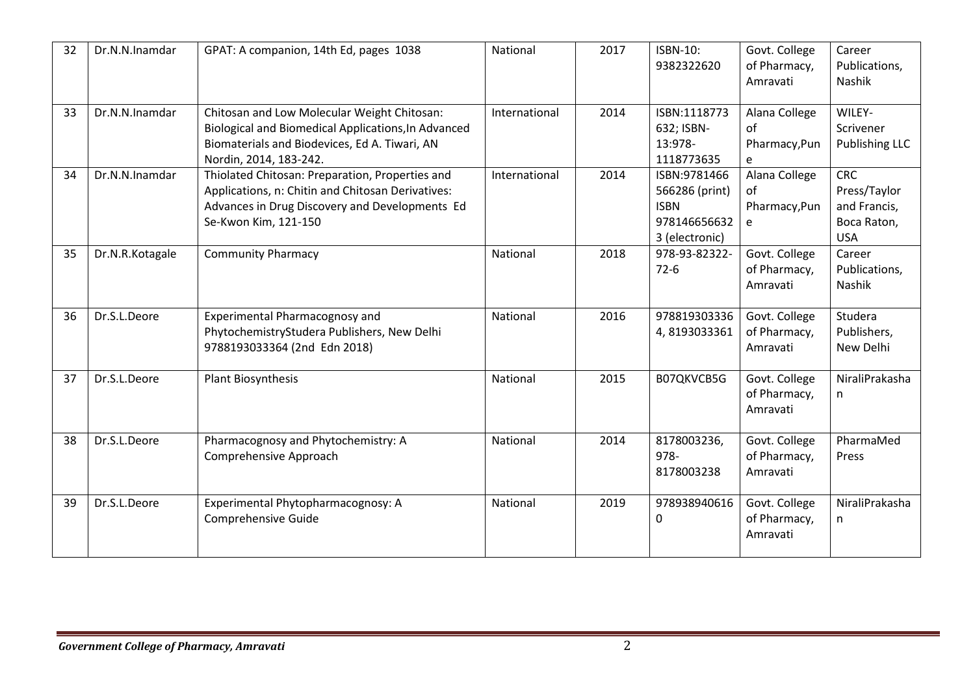| 32 | Dr.N.N.Inamdar  | GPAT: A companion, 14th Ed, pages 1038                                                                                                                                         | National      | 2017 | <b>ISBN-10:</b><br>9382322620                                                   | Govt. College<br>of Pharmacy,<br>Amravati | Career<br>Publications,<br>Nashik                                       |
|----|-----------------|--------------------------------------------------------------------------------------------------------------------------------------------------------------------------------|---------------|------|---------------------------------------------------------------------------------|-------------------------------------------|-------------------------------------------------------------------------|
| 33 | Dr.N.N.Inamdar  | Chitosan and Low Molecular Weight Chitosan:<br>Biological and Biomedical Applications, In Advanced<br>Biomaterials and Biodevices, Ed A. Tiwari, AN<br>Nordin, 2014, 183-242.  | International | 2014 | ISBN:1118773<br>632; ISBN-<br>13:978-<br>1118773635                             | Alana College<br>of<br>Pharmacy, Pun<br>e | WILEY-<br>Scrivener<br>Publishing LLC                                   |
| 34 | Dr.N.N.Inamdar  | Thiolated Chitosan: Preparation, Properties and<br>Applications, n: Chitin and Chitosan Derivatives:<br>Advances in Drug Discovery and Developments Ed<br>Se-Kwon Kim, 121-150 | International | 2014 | ISBN:9781466<br>566286 (print)<br><b>ISBN</b><br>978146656632<br>3 (electronic) | Alana College<br>οf<br>Pharmacy, Pun<br>e | <b>CRC</b><br>Press/Taylor<br>and Francis,<br>Boca Raton,<br><b>USA</b> |
| 35 | Dr.N.R.Kotagale | <b>Community Pharmacy</b>                                                                                                                                                      | National      | 2018 | 978-93-82322-<br>$72-6$                                                         | Govt. College<br>of Pharmacy,<br>Amravati | Career<br>Publications,<br>Nashik                                       |
| 36 | Dr.S.L.Deore    | <b>Experimental Pharmacognosy and</b><br>PhytochemistryStudera Publishers, New Delhi<br>9788193033364 (2nd Edn 2018)                                                           | National      | 2016 | 978819303336<br>4,8193033361                                                    | Govt. College<br>of Pharmacy,<br>Amravati | Studera<br>Publishers,<br>New Delhi                                     |
| 37 | Dr.S.L.Deore    | Plant Biosynthesis                                                                                                                                                             | National      | 2015 | B07QKVCB5G                                                                      | Govt. College<br>of Pharmacy,<br>Amravati | NiraliPrakasha<br>n                                                     |
| 38 | Dr.S.L.Deore    | Pharmacognosy and Phytochemistry: A<br>Comprehensive Approach                                                                                                                  | National      | 2014 | 8178003236,<br>978-<br>8178003238                                               | Govt. College<br>of Pharmacy,<br>Amravati | PharmaMed<br>Press                                                      |
| 39 | Dr.S.L.Deore    | Experimental Phytopharmacognosy: A<br>Comprehensive Guide                                                                                                                      | National      | 2019 | 978938940616<br>0                                                               | Govt. College<br>of Pharmacy,<br>Amravati | NiraliPrakasha<br>n                                                     |